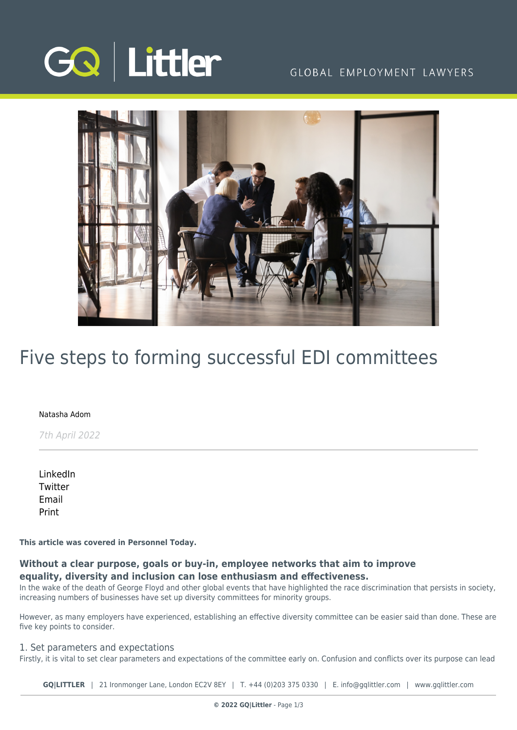

### GLOBAL EMPLOYMENT LAWYERS



# Five steps to forming successful EDI committees

#### [Natasha Adom](https://www.gqlittler.com/about-us/the-team/natasha-adom)

7th April 2022

[LinkedIn](https://www.linkedin.com/shareArticle?mini=true&url=https%3A%2F%2Fwww.gqlittler.com%2Fresources%2Fnews-and-views%2Ffive-steps-to-forming-successful-edi-committees.htm%3Funlock%3Dtrue&title=Five+steps+to+forming+successful+EDI+committees&summary=Without+a+clear+purpose%2C+goals+or+buy-in%2C+employee+networks+that+aim+to+improve+equality%2C+diversity+and+inclusion+can+lose+enthusiasm+and+effectiveness.+Natasha+Adom+outlines+five+steps+employers+can+take+to+maximise+their+success.&source=GQ+%7C+Littler) **[Twitter](https://twitter.com/share?text=Five+steps+to+forming+successful+EDI+committees&url=https%3A%2F%2Fwww.gqlittler.com%2Fresources%2Fnews-and-views%2Ffive-steps-to-forming-successful-edi-committees.htm&hashtags=)** [Email](mailto:?subject=Five steps to forming successful EDI committees&body=I) [Print](https://www.bg-pdf.co.uk/_GQ/page.php?M=6148523063484d364c793933643363755a33467361585230624756794c6d4e76625339795a584e7664584a6a5a584d76626d563363793168626d5174646d6c6c64334d765a6d6c325a53317a64475677637931306279316d62334a746157356e4c584e3159324e6c63334e6d645777745a5752704c574e76625731706448526c5a584d75614852744930416a526d6c325a53427a64475677637942306279426d62334a746157356e49484e3159324e6c63334e6d645777675255524a49474e76625731706448526c5a584d6a51434e6d61585a6c4c584e305a58427a4c5852764c575a76636d3170626d63746333566a5932567a63325a316243316c5a476b745932397462576c306447566c63773d3d)

**This article was covered in Personnel Today.** 

#### **Without a clear purpose, goals or buy-in, employee networks that aim to improve equality, diversity and inclusion can lose enthusiasm and effectiveness.**

In the wake of the death of George Floyd and other global events that have highlighted the race discrimination that persists in society, increasing numbers of businesses have set up diversity committees for minority groups.

However, as many employers have experienced, establishing an effective diversity committee can be easier said than done. These are five key points to consider.

#### 1. Set parameters and expectations

Firstly, it is vital to set clear parameters and expectations of the committee early on. Confusion and conflicts over its purpose can lead

**GQ|LITTLER** | 21 Ironmonger Lane, London EC2V 8EY | T. [+44 \(0\)203 375 0330](https://www.bg-pdf.co.uk/_GQ/tel:+442033750330) | E. [info@gqlittler.com](mailto:info@gqlittler.com) | [www.gqlittler.com](https://www.gqlittler.com)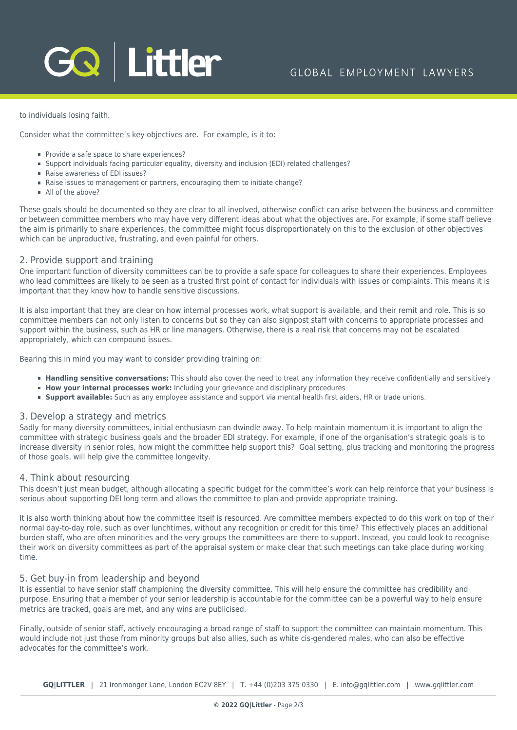# GQ Littler

to individuals losing faith.

Consider what the committee's key objectives are. For example, is it to:

- Provide a safe space to share experiences?
- Support individuals facing particular equality, diversity and inclusion (EDI) related challenges?
- Raise awareness of EDI issues?
- Raise issues to management or partners, encouraging them to initiate change?
- All of the above?

These goals should be documented so they are clear to all involved, otherwise conflict can arise between the business and committee or between committee members who may have very different ideas about what the objectives are. For example, if some staff believe the aim is primarily to share experiences, the committee might focus disproportionately on this to the exclusion of other objectives which can be unproductive, frustrating, and even painful for others.

#### 2. Provide support and training

One important function of diversity committees can be to provide a safe space for colleagues to share their experiences. Employees who lead committees are likely to be seen as a trusted first point of contact for individuals with issues or complaints. This means it is important that they know how to handle sensitive discussions.

It is also important that they are clear on how internal processes work, what support is available, and their remit and role. This is so committee members can not only listen to concerns but so they can also signpost staff with concerns to appropriate processes and support within the business, such as HR or line managers. Otherwise, there is a real risk that concerns may not be escalated appropriately, which can compound issues.

Bearing this in mind you may want to consider providing training on:

- **Handling sensitive conversations:** This should also cover the need to treat any information they receive confidentially and sensitively
- **How your internal processes work:** Including your grievance and disciplinary procedures
- **Support available:** Such as any employee assistance and support via mental health first aiders, HR or trade unions.

#### 3. Develop a strategy and metrics

Sadly for many diversity committees, initial enthusiasm can dwindle away. To help maintain momentum it is important to align the committee with strategic business goals and the broader EDI strategy. For example, if one of the organisation's strategic goals is to increase diversity in senior roles, how might the committee help support this? Goal setting, plus tracking and monitoring the progress of those goals, will help give the committee longevity.

#### 4. Think about resourcing

This doesn't just mean budget, although allocating a specific budget for the committee's work can help reinforce that your business is serious about supporting DEI long term and allows the committee to plan and provide appropriate training.

It is also worth thinking about how the committee itself is resourced. Are committee members expected to do this work on top of their normal day-to-day role, such as over lunchtimes, without any recognition or credit for this time? This effectively places an additional burden staff, who are often minorities and the very groups the committees are there to support. Instead, you could look to recognise their work on diversity committees as part of the appraisal system or make clear that such meetings can take place during working time.

#### 5. Get buy-in from leadership and beyond

It is essential to have senior staff championing the diversity committee. This will help ensure the committee has credibility and purpose. Ensuring that a member of your senior leadership is accountable for the committee can be a powerful way to help ensure metrics are tracked, goals are met, and any wins are publicised.

Finally, outside of senior staff, actively encouraging a broad range of staff to support the committee can maintain momentum. This would include not just those from minority groups but also allies, such as white cis-gendered males, who can also be effective advocates for the committee's work.

**GQ|LITTLER** | 21 Ironmonger Lane, London EC2V 8EY | T. [+44 \(0\)203 375 0330](https://www.bg-pdf.co.uk/_GQ/tel:+442033750330) | E. [info@gqlittler.com](mailto:info@gqlittler.com) | [www.gqlittler.com](https://www.gqlittler.com)